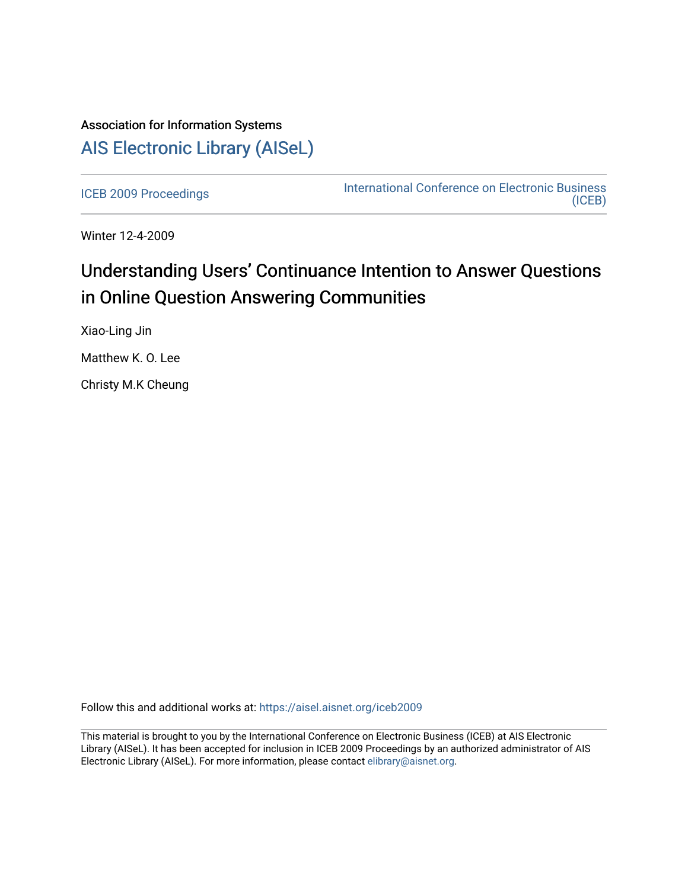# Association for Information Systems [AIS Electronic Library \(AISeL\)](https://aisel.aisnet.org/)

[ICEB 2009 Proceedings](https://aisel.aisnet.org/iceb2009) **International Conference on Electronic Business** [\(ICEB\)](https://aisel.aisnet.org/iceb) 

Winter 12-4-2009

# Understanding Users' Continuance Intention to Answer Questions in Online Question Answering Communities

Xiao-Ling Jin

Matthew K. O. Lee

Christy M.K Cheung

Follow this and additional works at: [https://aisel.aisnet.org/iceb2009](https://aisel.aisnet.org/iceb2009?utm_source=aisel.aisnet.org%2Ficeb2009%2F95&utm_medium=PDF&utm_campaign=PDFCoverPages)

This material is brought to you by the International Conference on Electronic Business (ICEB) at AIS Electronic Library (AISeL). It has been accepted for inclusion in ICEB 2009 Proceedings by an authorized administrator of AIS Electronic Library (AISeL). For more information, please contact [elibrary@aisnet.org.](mailto:elibrary@aisnet.org%3E)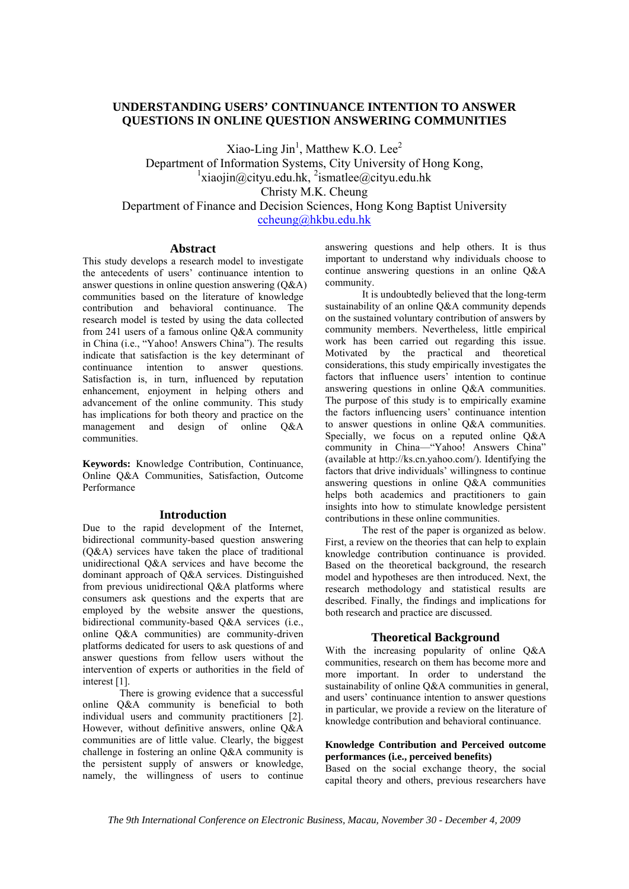# **UNDERSTANDING USERS' CONTINUANCE INTENTION TO ANSWER QUESTIONS IN ONLINE QUESTION ANSWERING COMMUNITIES**

 $Xiao-Ling Jin<sup>1</sup>, Matthew K.O. Lee<sup>2</sup>$ Department of Information Systems, City University of Hong Kong,  $\frac{1}{x}$ iaojin@cityu.edu.hk,  $\frac{2}{x}$ ismatlee@cityu.edu.hk Christy M.K. Cheung

Department of Finance and Decision Sciences, Hong Kong Baptist University ccheung@hkbu.edu.hk

#### **Abstract**

This study develops a research model to investigate the antecedents of users' continuance intention to answer questions in online question answering  $(O&A)$ communities based on the literature of knowledge contribution and behavioral continuance. The research model is tested by using the data collected from 241 users of a famous online Q&A community in China (i.e., "Yahoo! Answers China"). The results indicate that satisfaction is the key determinant of continuance intention to answer questions. Satisfaction is, in turn, influenced by reputation enhancement, enjoyment in helping others and advancement of the online community. This study has implications for both theory and practice on the management and design of online Q&A communities.

**Keywords:** Knowledge Contribution, Continuance, Online Q&A Communities, Satisfaction, Outcome Performance

#### **Introduction**

Due to the rapid development of the Internet. bidirectional community-based question answering (Q&A) services have taken the place of traditional unidirectional Q&A services and have become the dominant approach of Q&A services. Distinguished from previous unidirectional Q&A platforms where consumers ask questions and the experts that are employed by the website answer the questions, bidirectional community-based Q&A services (i.e., online Q&A communities) are community-driven platforms dedicated for users to ask questions of and answer questions from fellow users without the intervention of experts or authorities in the field of interest [1].

There is growing evidence that a successful online Q&A community is beneficial to both individual users and community practitioners [2]. However, without definitive answers, online Q&A communities are of little value. Clearly, the biggest challenge in fostering an online Q&A community is the persistent supply of answers or knowledge, namely, the willingness of users to continue

answering questions and help others. It is thus important to understand why individuals choose to continue answering questions in an online Q&A community.

It is undoubtedly believed that the long-term sustainability of an online Q&A community depends on the sustained voluntary contribution of answers by community members. Nevertheless, little empirical work has been carried out regarding this issue. Motivated by the practical and theoretical considerations, this study empirically investigates the factors that influence users' intention to continue answering questions in online Q&A communities. The purpose of this study is to empirically examine the factors influencing users' continuance intention to answer questions in online Q&A communities. Specially, we focus on a reputed online O&A community in China—"Yahoo! Answers China" (available at http://ks.cn.yahoo.com/). Identifying the factors that drive individuals' willingness to continue answering questions in online  $O&A$  communities helps both academics and practitioners to gain insights into how to stimulate knowledge persistent contributions in these online communities.

The rest of the paper is organized as below. First, a review on the theories that can help to explain knowledge contribution continuance is provided. Based on the theoretical background, the research model and hypotheses are then introduced. Next, the research methodology and statistical results are described. Finally, the findings and implications for both research and practice are discussed.

#### **Theoretical Background**

With the increasing popularity of online Q&A communities, research on them has become more and more important. In order to understand the sustainability of online Q&A communities in general, and users' continuance intention to answer questions in particular, we provide a review on the literature of knowledge contribution and behavioral continuance.

# **Knowledge Contribution and Perceived outcome performances (i.e., perceived benefits)**

Based on the social exchange theory, the social capital theory and others, previous researchers have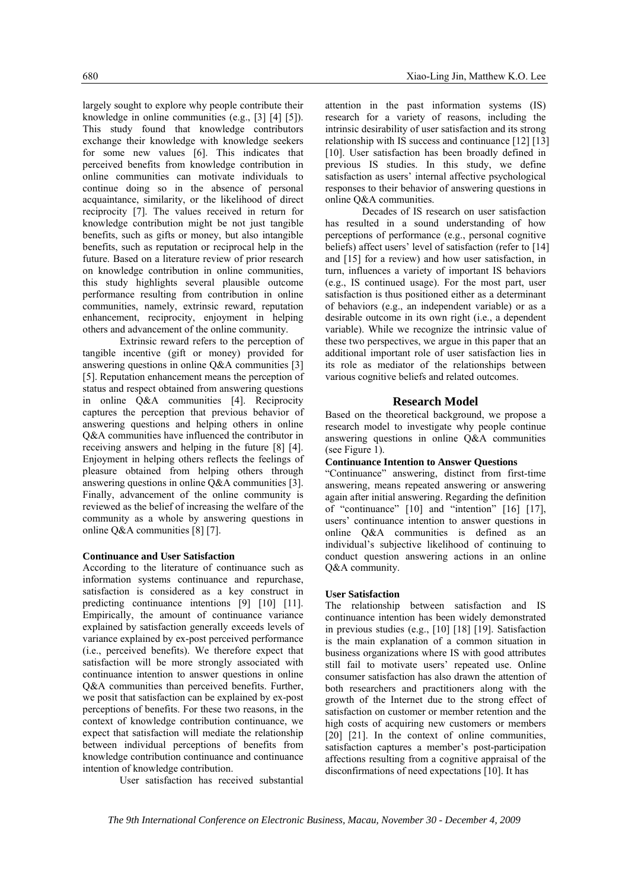largely sought to explore why people contribute their knowledge in online communities (e.g., [3] [4] [5]). This study found that knowledge contributors exchange their knowledge with knowledge seekers for some new values [6]. This indicates that perceived benefits from knowledge contribution in online communities can motivate individuals to continue doing so in the absence of personal acquaintance, similarity, or the likelihood of direct reciprocity [7]. The values received in return for knowledge contribution might be not just tangible benefits, such as gifts or money, but also intangible benefits, such as reputation or reciprocal help in the future. Based on a literature review of prior research on knowledge contribution in online communities, this study highlights several plausible outcome performance resulting from contribution in online communities, namely, extrinsic reward, reputation enhancement, reciprocity, enjoyment in helping others and advancement of the online community.

Extrinsic reward refers to the perception of tangible incentive (gift or money) provided for answering questions in online  $O&A$  communities [3] [5]. Reputation enhancement means the perception of status and respect obtained from answering questions in online Q&A communities [4]. Reciprocity captures the perception that previous behavior of answering questions and helping others in online Q&A communities have influenced the contributor in receiving answers and helping in the future [8] [4]. Enjoyment in helping others reflects the feelings of pleasure obtained from helping others through answering questions in online Q&A communities [3]. Finally, advancement of the online community is reviewed as the belief of increasing the welfare of the community as a whole by answering questions in online Q&A communities [8] [7].

#### **Continuance and User Satisfaction**

According to the literature of continuance such as information systems continuance and repurchase, satisfaction is considered as a key construct in predicting continuance intentions [9] [10] [11]. Empirically, the amount of continuance variance explained by satisfaction generally exceeds levels of variance explained by ex-post perceived performance (i.e., perceived benefits). We therefore expect that satisfaction will be more strongly associated with continuance intention to answer questions in online Q&A communities than perceived benefits. Further, we posit that satisfaction can be explained by ex-post perceptions of benefits. For these two reasons, in the context of knowledge contribution continuance, we expect that satisfaction will mediate the relationship between individual perceptions of benefits from knowledge contribution continuance and continuance intention of knowledge contribution.

User satisfaction has received substantial

attention in the past information systems (IS) research for a variety of reasons, including the intrinsic desirability of user satisfaction and its strong relationship with IS success and continuance [12] [13] [10]. User satisfaction has been broadly defined in previous IS studies. In this study, we define satisfaction as users' internal affective psychological responses to their behavior of answering questions in online Q&A communities.

Decades of IS research on user satisfaction has resulted in a sound understanding of how perceptions of performance (e.g., personal cognitive beliefs) affect users' level of satisfaction (refer to [14] and [15] for a review) and how user satisfaction, in turn, influences a variety of important IS behaviors (e.g., IS continued usage). For the most part, user satisfaction is thus positioned either as a determinant of behaviors (e.g., an independent variable) or as a desirable outcome in its own right (i.e., a dependent variable). While we recognize the intrinsic value of these two perspectives, we argue in this paper that an additional important role of user satisfaction lies in its role as mediator of the relationships between various cognitive beliefs and related outcomes.

#### **Research Model**

Based on the theoretical background, we propose a research model to investigate why people continue answering questions in online Q&A communities (see Figure 1).

#### **Continuance Intention to Answer Questions**

"Continuance" answering, distinct from first-time answering, means repeated answering or answering again after initial answering. Regarding the definition of "continuance" [10] and "intention" [16] [17], users' continuance intention to answer questions in online Q&A communities is defined as an individual's subjective likelihood of continuing to conduct question answering actions in an online Q&A community.

#### **User Satisfaction**

The relationship between satisfaction and IS continuance intention has been widely demonstrated in previous studies (e.g., [10] [18] [19]. Satisfaction is the main explanation of a common situation in business organizations where IS with good attributes still fail to motivate users' repeated use. Online consumer satisfaction has also drawn the attention of both researchers and practitioners along with the growth of the Internet due to the strong effect of satisfaction on customer or member retention and the high costs of acquiring new customers or members [20] [21]. In the context of online communities, satisfaction captures a member's post-participation affections resulting from a cognitive appraisal of the disconfirmations of need expectations [10]. It has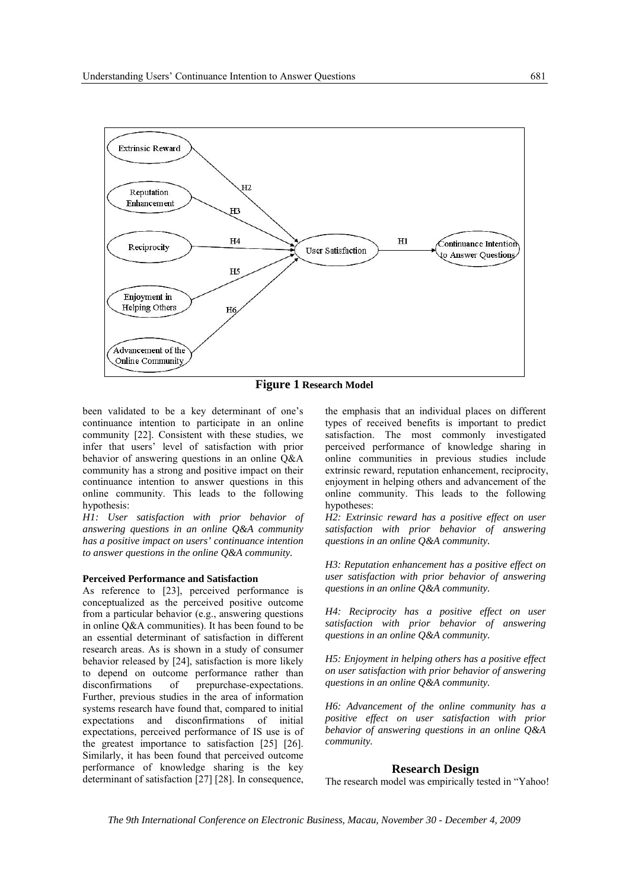

**Figure 1 Research Model**

been validated to be a key determinant of one's continuance intention to participate in an online community [22]. Consistent with these studies, we infer that users' level of satisfaction with prior behavior of answering questions in an online Q&A community has a strong and positive impact on their continuance intention to answer questions in this online community. This leads to the following hypothesis:

*H1: User satisfaction with prior behavior of answering questions in an online Q&A community has a positive impact on users' continuance intention to answer questions in the online Q&A community.* 

#### **Perceived Performance and Satisfaction**

As reference to [23], perceived performance is conceptualized as the perceived positive outcome from a particular behavior (e.g., answering questions in online Q&A communities). It has been found to be an essential determinant of satisfaction in different research areas. As is shown in a study of consumer behavior released by [24], satisfaction is more likely to depend on outcome performance rather than disconfirmations of prepurchase-expectations. Further, previous studies in the area of information systems research have found that, compared to initial expectations and disconfirmations of initial expectations, perceived performance of IS use is of the greatest importance to satisfaction [25] [26]. Similarly, it has been found that perceived outcome performance of knowledge sharing is the key determinant of satisfaction [27] [28]. In consequence, the emphasis that an individual places on different types of received benefits is important to predict satisfaction. The most commonly investigated perceived performance of knowledge sharing in online communities in previous studies include extrinsic reward, reputation enhancement, reciprocity, enjoyment in helping others and advancement of the online community. This leads to the following hypotheses:

*H2: Extrinsic reward has a positive effect on user satisfaction with prior behavior of answering questions in an online Q&A community.* 

*H3: Reputation enhancement has a positive effect on user satisfaction with prior behavior of answering questions in an online Q&A community.* 

*H4: Reciprocity has a positive effect on user satisfaction with prior behavior of answering questions in an online Q&A community.* 

*H5: Enjoyment in helping others has a positive effect on user satisfaction with prior behavior of answering questions in an online Q&A community.* 

*H6: Advancement of the online community has a positive effect on user satisfaction with prior behavior of answering questions in an online Q&A community.* 

## **Research Design**

The research model was empirically tested in "Yahoo!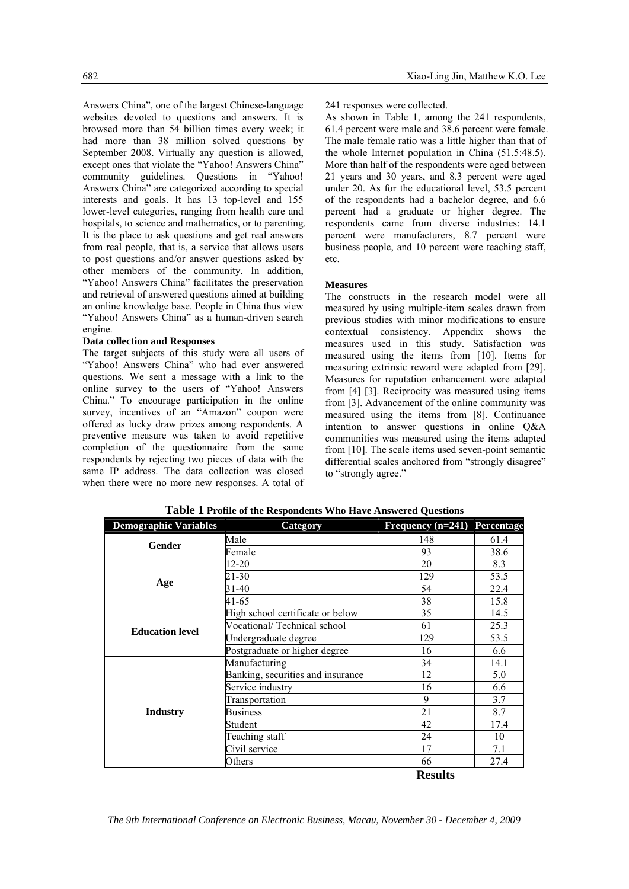Answers China", one of the largest Chinese-language websites devoted to questions and answers. It is browsed more than 54 billion times every week; it had more than 38 million solved questions by September 2008. Virtually any question is allowed, except ones that violate the "Yahoo! Answers China" community guidelines. Questions in "Yahoo! Answers China" are categorized according to special interests and goals. It has 13 top-level and 155 lower-level categories, ranging from health care and hospitals, to science and mathematics, or to parenting. It is the place to ask questions and get real answers from real people, that is, a service that allows users to post questions and/or answer questions asked by other members of the community. In addition, "Yahoo! Answers China" facilitates the preservation and retrieval of answered questions aimed at building an online knowledge base. People in China thus view "Yahoo! Answers China" as a human-driven search engine.

#### **Data collection and Responses**

The target subjects of this study were all users of "Yahoo! Answers China" who had ever answered questions. We sent a message with a link to the online survey to the users of "Yahoo! Answers China." To encourage participation in the online survey, incentives of an "Amazon" coupon were offered as lucky draw prizes among respondents. A preventive measure was taken to avoid repetitive completion of the questionnaire from the same respondents by rejecting two pieces of data with the same IP address. The data collection was closed when there were no more new responses. A total of 241 responses were collected.

As shown in Table 1, among the 241 respondents, 61.4 percent were male and 38.6 percent were female. The male female ratio was a little higher than that of the whole Internet population in China (51.5:48.5). More than half of the respondents were aged between 21 years and 30 years, and 8.3 percent were aged under 20. As for the educational level, 53.5 percent of the respondents had a bachelor degree, and 6.6 percent had a graduate or higher degree. The respondents came from diverse industries: 14.1 percent were manufacturers, 8.7 percent were business people, and 10 percent were teaching staff, etc.

# **Measures**

The constructs in the research model were all measured by using multiple-item scales drawn from previous studies with minor modifications to ensure contextual consistency. Appendix shows the measures used in this study. Satisfaction was measured using the items from [10]. Items for measuring extrinsic reward were adapted from [29]. Measures for reputation enhancement were adapted from [4] [3]. Reciprocity was measured using items from [3]. Advancement of the online community was measured using the items from [8]. Continuance intention to answer questions in online Q&A communities was measured using the items adapted from [10]. The scale items used seven-point semantic differential scales anchored from "strongly disagree" to "strongly agree."

| <b>Demographic Variables</b> | Category                          | Frequency $(n=241)$ Percentage |      |
|------------------------------|-----------------------------------|--------------------------------|------|
| Gender                       | Male                              | 148                            | 61.4 |
|                              | Female                            | 93                             | 38.6 |
|                              | $12 - 20$                         | 20                             | 8.3  |
|                              | 21-30                             | 129                            | 53.5 |
| Age                          | 31-40                             | 54                             | 22.4 |
|                              | 41-65                             | 38                             | 15.8 |
|                              | High school certificate or below  | 35                             | 14.5 |
| <b>Education level</b>       | Vocational/Technical school       | 61                             | 25.3 |
|                              | Undergraduate degree              | 129                            | 53.5 |
|                              | Postgraduate or higher degree     | 16                             | 6.6  |
|                              | Manufacturing                     | 34                             | 14.1 |
|                              | Banking, securities and insurance | 12                             | 5.0  |
|                              | Service industry                  | 16                             | 6.6  |
|                              | Transportation                    | 9                              | 3.7  |
| <b>Industry</b>              | <b>Business</b>                   | 21                             | 8.7  |
|                              | Student                           | 42                             | 17.4 |
|                              | Teaching staff                    | 24                             | 10   |
|                              | Civil service                     | 17                             | 7.1  |
|                              | Others                            | 66                             | 27.4 |
|                              |                                   | <b>Results</b>                 |      |

**Table 1 Profile of the Respondents Who Have Answered Questions**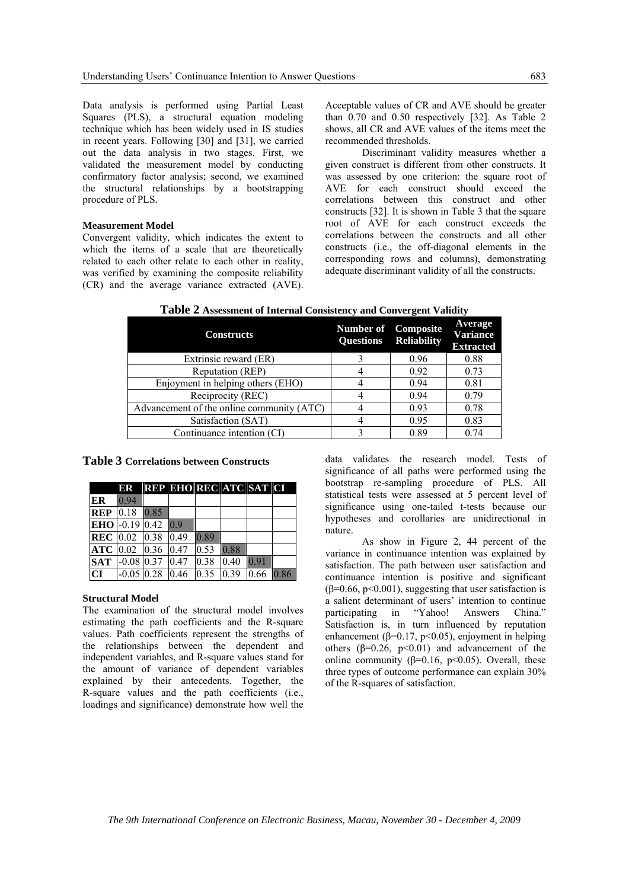Data analysis is performed using Partial Least Squares (PLS), a structural equation modeling technique which has been widely used in IS studies in recent years. Following [30] and [31], we carried out the data analysis in two stages. First, we validated the measurement model by conducting confirmatory factor analysis; second, we examined the structural relationships by a bootstrapping procedure of PLS.

### **Measurement Model**

Convergent validity, which indicates the extent to which the items of a scale that are theoretically related to each other relate to each other in reality, was verified by examining the composite reliability (CR) and the average variance extracted (AVE).

Acceptable values of CR and AVE should be greater than 0.70 and 0.50 respectively [32]. As Table 2 shows, all CR and AVE values of the items meet the recommended thresholds.

Discriminant validity measures whether a given construct is different from other constructs. It was assessed by one criterion: the square root of AVE for each construct should exceed the correlations between this construct and other constructs [32]. It is shown in Table 3 that the square root of AVE for each construct exceeds the correlations between the constructs and all other constructs (i.e., the off-diagonal elements in the corresponding rows and columns), demonstrating adequate discriminant validity of all the constructs.

**Table 2 Assessment of Internal Consistency and Convergent Validity**

| <b>Constructs</b>                         | <b>Number of</b> Composite | Questions Reliability | <b>Average</b><br><b>Variance</b><br><b>Extracted</b> |
|-------------------------------------------|----------------------------|-----------------------|-------------------------------------------------------|
| Extrinsic reward (ER)                     |                            | 0.96                  | 0.88                                                  |
| Reputation (REP)                          |                            | 0.92                  | 0.73                                                  |
| Enjoyment in helping others (EHO)         |                            | 0.94                  | 0.81                                                  |
| Reciprocity (REC)                         |                            | 0.94                  | 0.79                                                  |
| Advancement of the online community (ATC) |                            | 0.93                  | 0.78                                                  |
| Satisfaction (SAT)                        |                            | 0.95                  | 0.83                                                  |
| Continuance intention (CI)                |                            | 0.89                  | 0.74                                                  |

**Table 3 Correlations between Constructs**

|                                                                                     |      | ER REP EHO REC ATC SAT CI                               |  |  |
|-------------------------------------------------------------------------------------|------|---------------------------------------------------------|--|--|
| ER                                                                                  | 0.94 |                                                         |  |  |
| <b>REP</b> 0.18 0.85                                                                |      |                                                         |  |  |
| EHO $-0.19$ 0.42 0.9                                                                |      |                                                         |  |  |
| <b>REC</b> $\begin{bmatrix} 0.02 & 0.38 & 0.49 & 0.89 \end{bmatrix}$                |      |                                                         |  |  |
| $ATC$ 0.02 0.36 0.47 0.53 0.88                                                      |      |                                                         |  |  |
| <b>SAT</b> $\begin{bmatrix} -0.08 & 0.37 & 0.47 & 0.38 & 0.40 & 0.91 \end{bmatrix}$ |      |                                                         |  |  |
| $\mathbf{C}\mathbf{I}$                                                              |      | $-0.05 \, 0.28 \, 0.46 \, 0.35 \, 0.39 \, 0.66 \, 0.86$ |  |  |

#### **Structural Model**

The examination of the structural model involves estimating the path coefficients and the R-square values. Path coefficients represent the strengths of the relationships between the dependent and independent variables, and R-square values stand for the amount of variance of dependent variables explained by their antecedents. Together, the R-square values and the path coefficients (i.e., loadings and significance) demonstrate how well the

data validates the research model. Tests of significance of all paths were performed using the bootstrap re-sampling procedure of PLS. All statistical tests were assessed at 5 percent level of significance using one-tailed t-tests because our hypotheses and corollaries are unidirectional in nature.

As show in Figure 2, 44 percent of the variance in continuance intention was explained by satisfaction. The path between user satisfaction and continuance intention is positive and significant ( $\beta$ =0.66, p<0.001), suggesting that user satisfaction is a salient determinant of users' intention to continue participating in "Yahoo! Answers China." Satisfaction is, in turn influenced by reputation enhancement ( $\beta$ =0.17, p<0.05), enjoyment in helping others ( $β=0.26$ ,  $p<0.01$ ) and advancement of the online community ( $\beta$ =0.16, p<0.05). Overall, these three types of outcome performance can explain 30% of the R-squares of satisfaction.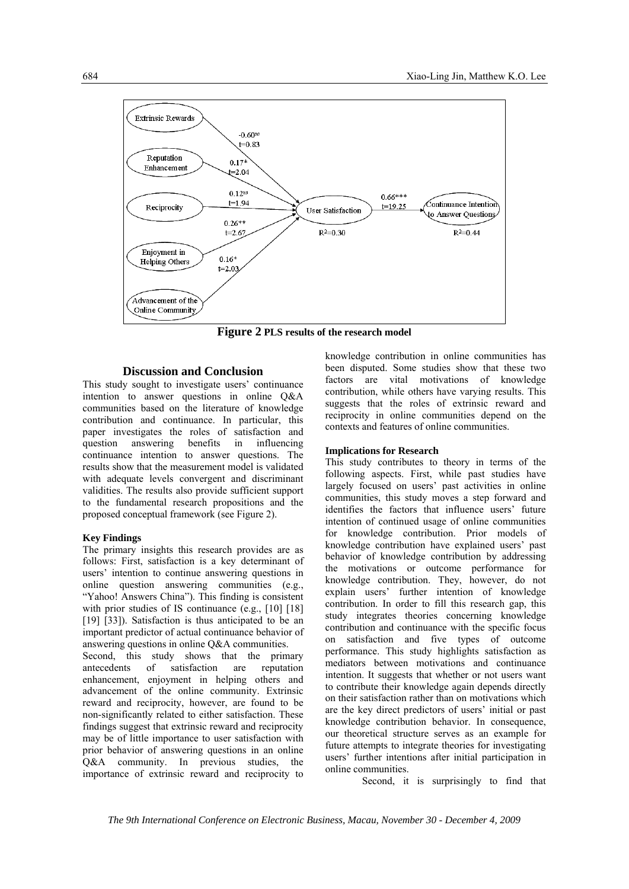

**Figure 2 PLS results of the research model**

# **Discussion and Conclusion**

This study sought to investigate users' continuance intention to answer questions in online Q&A communities based on the literature of knowledge contribution and continuance. In particular, this paper investigates the roles of satisfaction and question answering benefits in influencing continuance intention to answer questions. The results show that the measurement model is validated with adequate levels convergent and discriminant validities. The results also provide sufficient support to the fundamental research propositions and the proposed conceptual framework (see Figure 2).

#### **Key Findings**

The primary insights this research provides are as follows: First, satisfaction is a key determinant of users' intention to continue answering questions in online question answering communities (e.g., "Yahoo! Answers China"). This finding is consistent with prior studies of IS continuance (e.g., [10] [18] [19] [33]). Satisfaction is thus anticipated to be an important predictor of actual continuance behavior of answering questions in online Q&A communities.

Second, this study shows that the primary antecedents of satisfaction are reputation enhancement, enjoyment in helping others and advancement of the online community. Extrinsic reward and reciprocity, however, are found to be non-significantly related to either satisfaction. These findings suggest that extrinsic reward and reciprocity may be of little importance to user satisfaction with prior behavior of answering questions in an online Q&A community. In previous studies, the importance of extrinsic reward and reciprocity to knowledge contribution in online communities has been disputed. Some studies show that these two factors are vital motivations of knowledge contribution, while others have varying results. This suggests that the roles of extrinsic reward and reciprocity in online communities depend on the contexts and features of online communities.

#### **Implications for Research**

This study contributes to theory in terms of the following aspects. First, while past studies have largely focused on users' past activities in online communities, this study moves a step forward and identifies the factors that influence users' future intention of continued usage of online communities for knowledge contribution. Prior models of knowledge contribution have explained users' past behavior of knowledge contribution by addressing the motivations or outcome performance for knowledge contribution. They, however, do not explain users' further intention of knowledge contribution. In order to fill this research gap, this study integrates theories concerning knowledge contribution and continuance with the specific focus on satisfaction and five types of outcome performance. This study highlights satisfaction as mediators between motivations and continuance intention. It suggests that whether or not users want to contribute their knowledge again depends directly on their satisfaction rather than on motivations which are the key direct predictors of users' initial or past knowledge contribution behavior. In consequence, our theoretical structure serves as an example for future attempts to integrate theories for investigating users' further intentions after initial participation in online communities.

Second, it is surprisingly to find that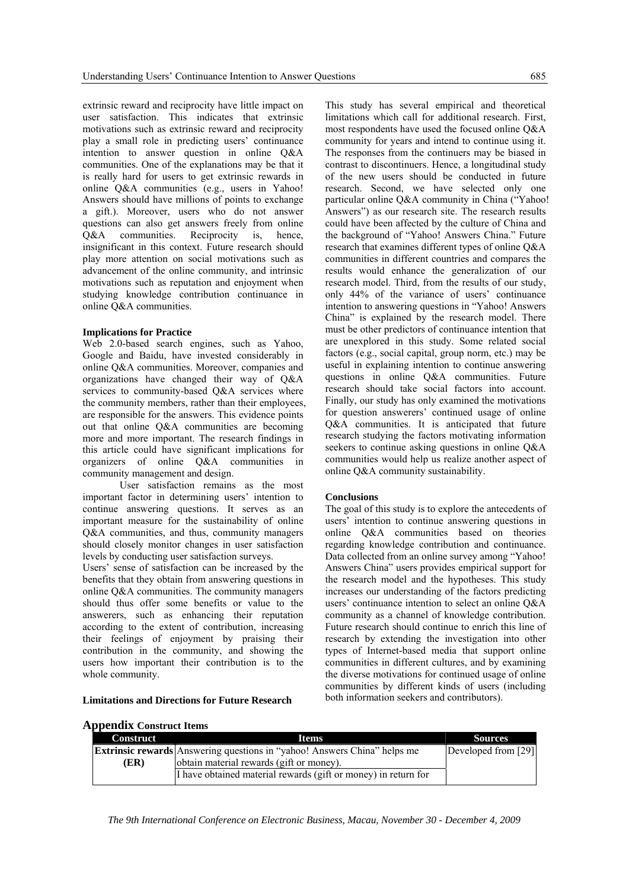extrinsic reward and reciprocity have little impact on user satisfaction. This indicates that extrinsic motivations such as extrinsic reward and reciprocity play a small role in predicting users' continuance intention to answer question in online Q&A communities. One of the explanations may be that it is really hard for users to get extrinsic rewards in online Q&A communities (e.g., users in Yahoo! Answers should have millions of points to exchange a gift.). Moreover, users who do not answer questions can also get answers freely from online Q&A communities. Reciprocity is, hence, insignificant in this context. Future research should play more attention on social motivations such as advancement of the online community, and intrinsic motivations such as reputation and enjoyment when studying knowledge contribution continuance in online Q&A communities.

#### **Implications for Practice**

Web 2.0-based search engines, such as Yahoo, Google and Baidu, have invested considerably in online Q&A communities. Moreover, companies and organizations have changed their way of Q&A services to community-based Q&A services where the community members, rather than their employees, are responsible for the answers. This evidence points out that online Q&A communities are becoming more and more important. The research findings in this article could have significant implications for organizers of online Q&A communities in community management and design.

User satisfaction remains as the most important factor in determining users' intention to continue answering questions. It serves as an important measure for the sustainability of online Q&A communities, and thus, community managers should closely monitor changes in user satisfaction levels by conducting user satisfaction surveys.

Users' sense of satisfaction can be increased by the benefits that they obtain from answering questions in online Q&A communities. The community managers should thus offer some benefits or value to the answerers, such as enhancing their reputation according to the extent of contribution, increasing their feelings of enjoyment by praising their contribution in the community, and showing the users how important their contribution is to the whole community.

This study has several empirical and theoretical limitations which call for additional research. First, most respondents have used the focused online Q&A community for years and intend to continue using it. The responses from the continuers may be biased in contrast to discontinuers. Hence, a longitudinal study of the new users should be conducted in future research. Second, we have selected only one particular online Q&A community in China ("Yahoo! Answers") as our research site. The research results could have been affected by the culture of China and the background of "Yahoo! Answers China." Future research that examines different types of online Q&A communities in different countries and compares the results would enhance the generalization of our research model. Third, from the results of our study, only 44% of the variance of users' continuance intention to answering questions in "Yahoo! Answers China" is explained by the research model. There must be other predictors of continuance intention that are unexplored in this study. Some related social factors (e.g., social capital, group norm, etc.) may be useful in explaining intention to continue answering questions in online Q&A communities. Future research should take social factors into account. Finally, our study has only examined the motivations for question answerers' continued usage of online Q&A communities. It is anticipated that future research studying the factors motivating information seekers to continue asking questions in online Q&A communities would help us realize another aspect of online Q&A community sustainability.

#### **Conclusions**

The goal of this study is to explore the antecedents of users' intention to continue answering questions in online Q&A communities based on theories regarding knowledge contribution and continuance. Data collected from an online survey among "Yahoo! Answers China" users provides empirical support for the research model and the hypotheses. This study increases our understanding of the factors predicting users' continuance intention to select an online Q&A community as a channel of knowledge contribution. Future research should continue to enrich this line of research by extending the investigation into other types of Internet-based media that support online communities in different cultures, and by examining the diverse motivations for continued usage of online communities by different kinds of users (including both information seekers and contributors).

# **Limitations and Directions for Future Research**

| <b>Appendix Construct Items</b> |                                                                                 |                     |
|---------------------------------|---------------------------------------------------------------------------------|---------------------|
| Construct                       | <b>Items</b>                                                                    | <b>Sources</b>      |
|                                 | <b>Extrinsic rewards</b> Answering questions in "yahoo! Answers China" helps me | Developed from [29] |
| (ER)                            | obtain material rewards (gift or money).                                        |                     |
|                                 | I have obtained material rewards (gift or money) in return for                  |                     |

# **Appendix Construct Items**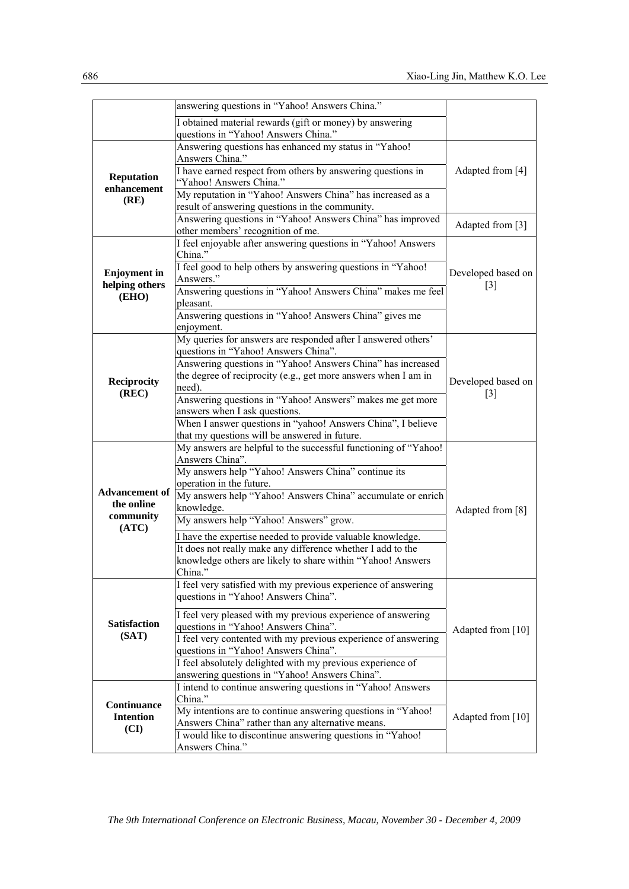|                                         | answering questions in "Yahoo! Answers China."                                                                            |                    |  |
|-----------------------------------------|---------------------------------------------------------------------------------------------------------------------------|--------------------|--|
|                                         | I obtained material rewards (gift or money) by answering                                                                  |                    |  |
|                                         | questions in "Yahoo! Answers China."                                                                                      |                    |  |
|                                         | Answering questions has enhanced my status in "Yahoo!                                                                     |                    |  |
|                                         | Answers China."<br>I have earned respect from others by answering questions in                                            |                    |  |
| <b>Reputation</b>                       | "Yahoo! Answers China."                                                                                                   | Adapted from [4]   |  |
| enhancement                             | My reputation in "Yahoo! Answers China" has increased as a                                                                |                    |  |
| (RE)                                    | result of answering questions in the community.                                                                           |                    |  |
|                                         | Answering questions in "Yahoo! Answers China" has improved                                                                |                    |  |
|                                         | other members' recognition of me.                                                                                         | Adapted from [3]   |  |
|                                         | I feel enjoyable after answering questions in "Yahoo! Answers                                                             |                    |  |
|                                         | China."                                                                                                                   |                    |  |
| <b>Enjoyment</b> in                     | I feel good to help others by answering questions in "Yahoo!                                                              | Developed based on |  |
| helping others                          | Answers."                                                                                                                 | $\lceil 3 \rceil$  |  |
| (EHO)                                   | Answering questions in "Yahoo! Answers China" makes me feel<br>pleasant.                                                  |                    |  |
|                                         | Answering questions in "Yahoo! Answers China" gives me                                                                    |                    |  |
|                                         | enjoyment.                                                                                                                |                    |  |
|                                         | My queries for answers are responded after I answered others'                                                             |                    |  |
|                                         | questions in "Yahoo! Answers China".                                                                                      |                    |  |
|                                         | Answering questions in "Yahoo! Answers China" has increased                                                               |                    |  |
| <b>Reciprocity</b>                      | the degree of reciprocity (e.g., get more answers when I am in                                                            | Developed based on |  |
| (REC)                                   | need).                                                                                                                    | $\lceil 3 \rceil$  |  |
|                                         | Answering questions in "Yahoo! Answers" makes me get more<br>answers when I ask questions.                                |                    |  |
|                                         | When I answer questions in "yahoo! Answers China", I believe                                                              |                    |  |
|                                         | that my questions will be answered in future.                                                                             |                    |  |
|                                         | My answers are helpful to the successful functioning of "Yahoo!                                                           |                    |  |
|                                         | Answers China".                                                                                                           |                    |  |
|                                         | My answers help "Yahoo! Answers China" continue its                                                                       |                    |  |
| <b>Advancement of</b>                   | operation in the future.                                                                                                  |                    |  |
| the online                              | My answers help "Yahoo! Answers China" accumulate or enrich<br>knowledge.                                                 | Adapted from [8]   |  |
| community                               | My answers help "Yahoo! Answers" grow.                                                                                    |                    |  |
| (ATC)                                   |                                                                                                                           |                    |  |
|                                         | I have the expertise needed to provide valuable knowledge.<br>It does not really make any difference whether I add to the |                    |  |
|                                         | knowledge others are likely to share within "Yahoo! Answers                                                               |                    |  |
|                                         | China.                                                                                                                    |                    |  |
|                                         | I feel very satisfied with my previous experience of answering                                                            |                    |  |
|                                         | questions in "Yahoo! Answers China".                                                                                      |                    |  |
|                                         | I feel very pleased with my previous experience of answering                                                              |                    |  |
| <b>Satisfaction</b>                     | questions in "Yahoo! Answers China".                                                                                      | Adapted from [10]  |  |
| (SAT)                                   | I feel very contented with my previous experience of answering                                                            |                    |  |
|                                         | questions in "Yahoo! Answers China".                                                                                      |                    |  |
|                                         | I feel absolutely delighted with my previous experience of                                                                |                    |  |
| Continuance<br><b>Intention</b><br>(CI) | answering questions in "Yahoo! Answers China".<br>I intend to continue answering questions in "Yahoo! Answers             |                    |  |
|                                         | China."                                                                                                                   |                    |  |
|                                         | My intentions are to continue answering questions in "Yahoo!                                                              |                    |  |
|                                         | Answers China" rather than any alternative means.                                                                         | Adapted from [10]  |  |
|                                         | I would like to discontinue answering questions in "Yahoo!                                                                |                    |  |
|                                         | Answers China."                                                                                                           |                    |  |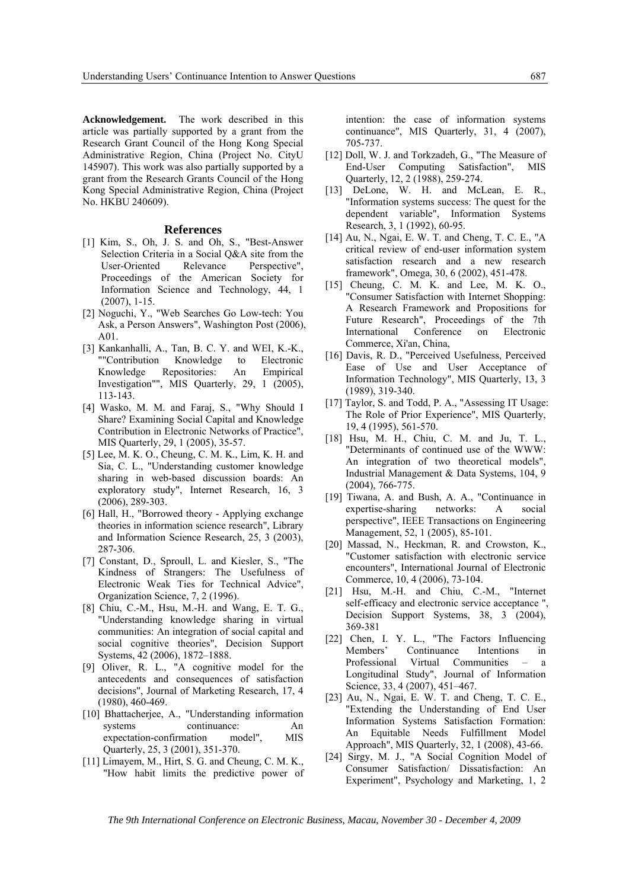**Acknowledgement.** The work described in this article was partially supported by a grant from the Research Grant Council of the Hong Kong Special Administrative Region, China (Project No. CityU 145907). This work was also partially supported by a grant from the Research Grants Council of the Hong Kong Special Administrative Region, China (Project No. HKBU 240609).

#### **References**

- [1] Kim, S., Oh, J. S. and Oh, S., "Best-Answer Selection Criteria in a Social Q&A site from the User-Oriented Relevance Perspective", Proceedings of the American Society for Information Science and Technology, 44, 1 (2007), 1-15.
- [2] Noguchi, Y., "Web Searches Go Low-tech: You Ask, a Person Answers", Washington Post (2006), A01.
- [3] Kankanhalli, A., Tan, B. C. Y. and WEI, K.-K., ""Contribution Knowledge to Electronic Knowledge Repositories: An Empirical Investigation"", MIS Quarterly, 29, 1 (2005), 113-143.
- [4] Wasko, M. M. and Faraj, S., "Why Should I Share? Examining Social Capital and Knowledge Contribution in Electronic Networks of Practice", MIS Quarterly, 29, 1 (2005), 35-57.
- [5] Lee, M. K. O., Cheung, C. M. K., Lim, K. H. and Sia, C. L., "Understanding customer knowledge sharing in web-based discussion boards: An exploratory study", Internet Research, 16, 3 (2006), 289-303.
- [6] Hall, H., "Borrowed theory Applying exchange theories in information science research", Library and Information Science Research, 25, 3 (2003), 287-306.
- [7] Constant, D., Sproull, L. and Kiesler, S., "The Kindness of Strangers: The Usefulness of Electronic Weak Ties for Technical Advice", Organization Science, 7, 2 (1996).
- [8] Chiu, C.-M., Hsu, M.-H. and Wang, E. T. G., "Understanding knowledge sharing in virtual communities: An integration of social capital and social cognitive theories", Decision Support Systems, 42 (2006), 1872–1888.
- [9] Oliver, R. L., "A cognitive model for the antecedents and consequences of satisfaction decisions", Journal of Marketing Research, 17, 4 (1980), 460-469.
- [10] Bhattacherjee, A., "Understanding information systems continuance: An expectation-confirmation model", MIS Quarterly, 25, 3 (2001), 351-370.
- [11] Limayem, M., Hirt, S. G. and Cheung, C. M. K., "How habit limits the predictive power of

intention: the case of information systems continuance", MIS Quarterly, 31, 4 (2007), 705-737.

- [12] Doll, W. J. and Torkzadeh, G., "The Measure of End-User Computing Satisfaction", MIS Quarterly, 12, 2 (1988), 259-274.
- [13] DeLone, W. H. and McLean, E. R., "Information systems success: The quest for the dependent variable", Information Systems Research, 3, 1 (1992), 60-95.
- [14] Au, N., Ngai, E. W. T. and Cheng, T. C. E., "A critical review of end-user information system satisfaction research and a new research framework", Omega, 30, 6 (2002), 451-478.
- [15] Cheung, C. M. K. and Lee, M. K. O., "Consumer Satisfaction with Internet Shopping: A Research Framework and Propositions for Future Research", Proceedings of the 7th International Conference on Electronic Commerce, Xi'an, China,
- [16] Davis, R. D., "Perceived Usefulness, Perceived Ease of Use and User Acceptance of Information Technology", MIS Quarterly, 13, 3 (1989), 319-340.
- [17] Taylor, S. and Todd, P. A., "Assessing IT Usage: The Role of Prior Experience", MIS Quarterly, 19, 4 (1995), 561-570.
- [18] Hsu, M. H., Chiu, C. M. and Ju, T. L., "Determinants of continued use of the WWW: An integration of two theoretical models", Industrial Management & Data Systems, 104, 9 (2004), 766-775.
- [19] Tiwana, A. and Bush, A. A., "Continuance in expertise-sharing networks: A social perspective", IEEE Transactions on Engineering Management, 52, 1 (2005), 85-101.
- [20] Massad, N., Heckman, R. and Crowston, K., "Customer satisfaction with electronic service encounters", International Journal of Electronic Commerce, 10, 4 (2006), 73-104.
- [21] Hsu, M.-H. and Chiu, C.-M., "Internet self-efficacy and electronic service acceptance ", Decision Support Systems, 38, 3 (2004), 369-381
- [22] Chen, I. Y. L., "The Factors Influencing Members' Continuance Intentions in Professional Virtual Communities – a Longitudinal Study", Journal of Information Science, 33, 4 (2007), 451–467.
- [23] Au, N., Ngai, E. W. T. and Cheng, T. C. E., "Extending the Understanding of End User Information Systems Satisfaction Formation: An Equitable Needs Fulfillment Model Approach", MIS Quarterly, 32, 1 (2008), 43-66.
- [24] Sirgy, M. J., "A Social Cognition Model of Consumer Satisfaction/ Dissatisfaction: An Experiment", Psychology and Marketing, 1, 2

*The 9th International Conference on Electronic Business, Macau, November 30 - December 4, 2009*